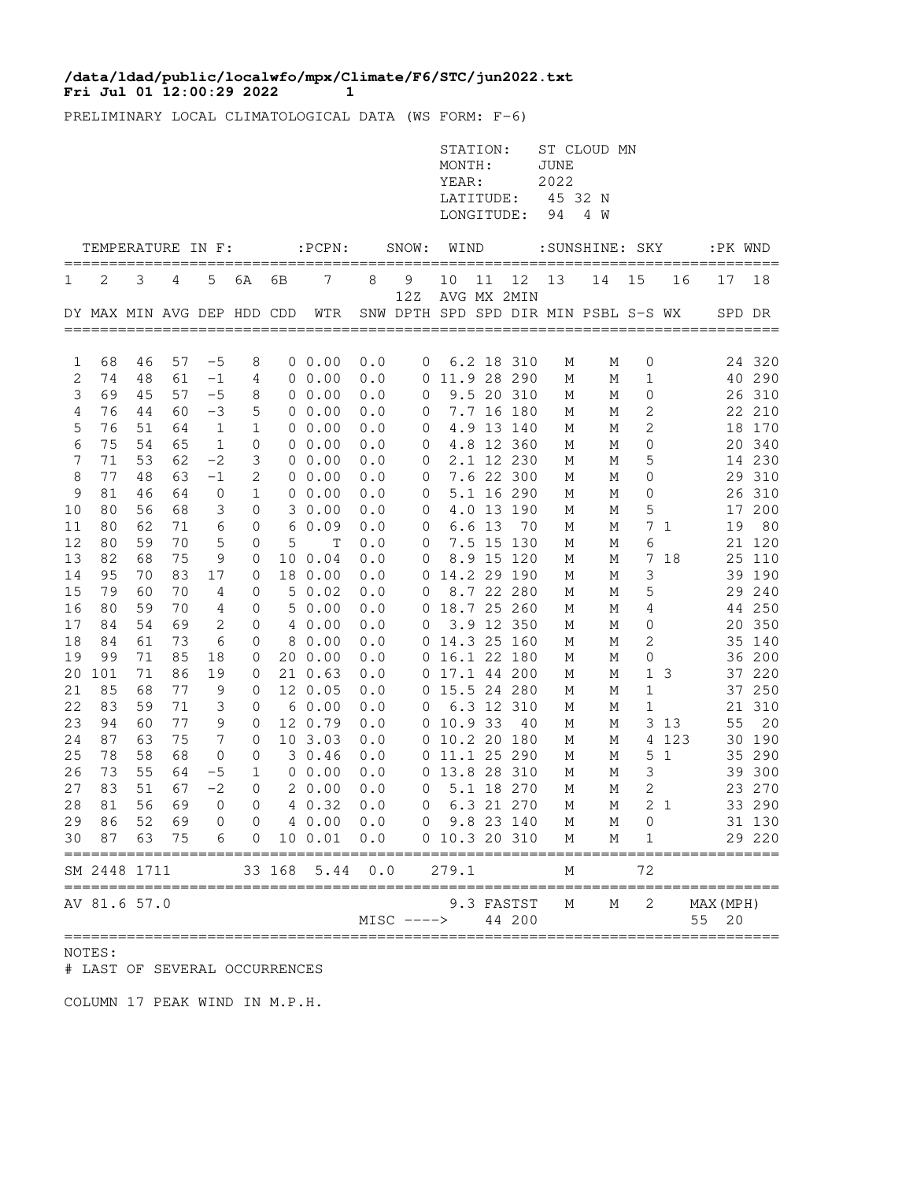## **Fri Jul 01 12:00:29 2022 1 /data/ldad/public/localwfo/mpx/Climate/F6/STC/jun2022.txt**

PRELIMINARY LOCAL CLIMATOLOGICAL DATA (WS FORM: F-6)

|          |                   |          |          |                  |                  |        |                                           |            |                                      | STATION:<br>MONTH:<br>YEAR:<br>LATITUDE:<br>LONGITUDE: |       |                          | <b>JUNE</b><br>2022<br>45 32 N<br>94 | ST CLOUD MN<br>4 W |                |                |                    |                  |
|----------|-------------------|----------|----------|------------------|------------------|--------|-------------------------------------------|------------|--------------------------------------|--------------------------------------------------------|-------|--------------------------|--------------------------------------|--------------------|----------------|----------------|--------------------|------------------|
|          | TEMPERATURE IN F: |          |          |                  |                  |        | $:$ PCPN $:$                              |            | SNOW:                                | WIND                                                   |       |                          |                                      | :SUNSHINE: SKY     |                |                |                    | :PK WND          |
| 1        | 2                 | 3        | 4        | 5                | 6A               | 6В     | 7                                         | 8          | 9<br>12Z                             | 10                                                     | 11    | 12<br>AVG MX 2MIN        | 13                                   | 14                 | 15             | 16             | 17                 | 18               |
|          |                   |          |          |                  |                  |        | DY MAX MIN AVG DEP HDD CDD WTR            |            | SNW DPTH SPD SPD DIR MIN PSBL S-S WX |                                                        |       |                          |                                      |                    |                |                |                    | SPD DR           |
| 1        | 68                | 46       | 57       | $-5$             | 8                |        | $0\;\;0.00$                               | 0.0        | $\mathbf 0$                          |                                                        |       | 6.2 18 310               | М                                    | М                  | 0              |                |                    | 24 320           |
| 2        | 74                | 48       | 61       | $-1$             | 4                |        | $0\;\;0.00$                               | 0.0        |                                      | 0 11.9 28 290                                          |       |                          | М                                    | М                  | 1              |                |                    | 40 290           |
| 3        | 69                | 45       | 57       | $-5$             | 8                |        | $0\;\;0.00$                               | 0.0        | 0                                    |                                                        |       | 9.5 20 310               | М                                    | М                  | 0              |                |                    | 26 310           |
| 4        | 76                | 44       | 60       | $-3$             | 5                |        | $0\;\;0.00$                               | 0.0        | $\overline{0}$                       |                                                        |       | 7.7 16 180               | М                                    | М                  | 2              |                |                    | 22 210           |
| 5        | 76                | 51       | 64       | $\mathbf{1}$     | 1                |        | $0\;\;0.00$                               | 0.0        | $\mathbf 0$                          |                                                        |       | 4.9 13 140               | М                                    | М                  | 2              |                |                    | 18 170           |
| 6        | 75                | 54       | 65       | $\mathbf{1}$     | $\overline{0}$   |        | $0\;\;0.00$                               | 0.0        | 0                                    |                                                        |       | 4.8 12 360               | М                                    | М                  | 0              |                |                    | 20 340           |
| 7        | 71                | 53       | 62       | $-2$             | 3                |        | $0\;\;0.00$                               | 0.0        | $\mathbf 0$                          |                                                        |       | 2.1 12 230               | М                                    | М                  | 5              |                |                    | 14 230           |
| 8<br>9   | 77<br>81          | 48<br>46 | 63<br>64 | $-1$             | 2<br>1           |        | $0\;\;0.00$<br>$0\;\;0.00$                | 0.0        | $\mathbf 0$                          |                                                        |       | 7.6 22 300               | М                                    | М                  | 0              |                |                    | 29 310           |
| $10$     | 80                | 56       | 68       | $\mathbf 0$<br>3 | 0                |        | 30.00                                     | 0.0<br>0.0 | 0<br>0                               |                                                        |       | 5.1 16 290<br>4.0 13 190 | М<br>М                               | М<br>М             | 0<br>5         |                |                    | 26 310<br>17 200 |
| 11       | 80                | 62       | 71       | 6                | 0                |        | 60.09                                     | 0.0        | 0                                    |                                                        | 6.613 | 70                       | М                                    | М                  |                | 71             | 19                 | 80               |
| 12       | 80                | 59       | 70       | 5                | 0                | 5      | Т                                         | 0.0        | 0                                    |                                                        |       | 7.5 15 130               | М                                    | М                  | 6              |                |                    | 21 120           |
| 13       | 82                | 68       | 75       | 9                | 0                |        | 10 0.04                                   | 0.0        | $\mathbf 0$                          |                                                        |       | 8.9 15 120               | М                                    | М                  |                | 7 18           |                    | 25 110           |
| 14       | 95                | 70       | 83       | 17               | 0                |        | 18 0.00                                   | 0.0        |                                      | 0 14.2 29 190                                          |       |                          | М                                    | М                  | 3              |                |                    | 39 190           |
| 15       | 79                | 60       | 70       | 4                | $\mathbf 0$      |        | 50.02                                     | 0.0        | 0                                    |                                                        |       | 8.7 22 280               | М                                    | М                  | 5              |                |                    | 29 240           |
| 16       | 80                | 59       | 70       | 4                | 0                |        | 50.00                                     | 0.0        |                                      | 0 18.7 25 260                                          |       |                          | М                                    | М                  | 4              |                |                    | 44 250           |
| 17       | 84                | 54       | 69       | 2                | 0                |        | 4 0.00                                    | 0.0        | 0                                    |                                                        |       | 3.9 12 350               | М                                    | М                  | 0              |                |                    | 20 350           |
| 18       | 84                | 61       | 73       | 6                | 0                |        | 8 0.00                                    | 0.0        |                                      | 0 14.3 25 160                                          |       |                          | М                                    | М                  | 2              |                |                    | 35 140           |
| 19       | 99                | 71       | 85       | 18               | 0                |        | 20 0.00                                   | 0.0        |                                      | 0 16.1 22 180                                          |       |                          | М                                    | М                  | 0              |                |                    | 36 200           |
| 20       | 101               | 71       | 86       | 19               | 0                |        | 21 0.63                                   | 0.0        |                                      | 0 17.1 44 200                                          |       |                          | М                                    | М                  | $\mathbf{1}$   | 3              |                    | 37 220           |
| 21       | 85                | 68       | 77       | 9                | $\mathbf 0$      |        | 12 0.05                                   | 0.0        |                                      | 0 15.5 24 280                                          |       |                          | М                                    | М                  | $\mathbf{1}$   |                |                    | 37 250           |
| 22       | 83                | 59       | 71       | 3                | $\mathbf 0$      |        | 60.00                                     | 0.0        | $\overline{0}$                       |                                                        |       | 6.3 12 310               | М                                    | М                  | $\mathbf{1}$   |                |                    | 21 310           |
| 23       | 94                | 60       | 77       | 9                | 0                |        | 12 0.79                                   | 0.0        |                                      | 0 10.9 33                                              |       | 40                       | М                                    | М                  |                | 3 1 3          | 55                 | 20               |
| 24       | 87<br>78          | 63<br>58 | 75<br>68 | $7\phantom{.0}$  | 0                |        | 10 3.03                                   | 0.0        |                                      | 0 10.2 20 180                                          |       |                          | М                                    | М                  |                | 4 123          |                    | 30 190<br>35 290 |
| 25<br>26 | 73                | 55       | 64       | 0<br>$-5$        | $\mathbf 0$<br>1 |        | 30.46<br>$0\;\;0.00$                      | 0.0<br>0.0 |                                      | 0 11.1 25 290<br>0 13.8 28 310                         |       |                          | М<br>М                               | М<br>М             | 3              | 5 <sub>1</sub> |                    | 39 300           |
| 27       | 83                | 51       | 67       | $-2$             | 0                |        | 20.00                                     | 0.0        | 0                                    |                                                        |       | 5.1 18 270               | М                                    | М                  | $\mathbf{2}$   |                |                    | 23 270           |
|          |                   |          |          |                  |                  |        | 28 81 56 69 0 0 4 0.32 0.0                |            |                                      | 0 6.3 21 270 M                                         |       |                          |                                      |                    | M 2 1          |                |                    | 33 290           |
|          |                   |          |          |                  |                  |        | 29 86 52 69 0 0 4 0.00 0.0 0 9.8 23 140 M |            |                                      |                                                        |       |                          |                                      | M                  | $\overline{0}$ |                |                    | 31 130           |
| 30       | 87                | 63       | 75       |                  |                  |        | 6  0  10  0.01  0.0  0  10.3  20  310     |            |                                      |                                                        |       |                          | М                                    | М                  | 1              |                |                    | 29 220           |
|          | SM 2448 1711      |          |          |                  |                  | 33 168 | 5.44                                      | 0.0        | =====                                | 279.1                                                  |       |                          | М                                    |                    | 72             |                |                    | =====            |
|          | AV 81.6 57.0      |          |          |                  |                  |        |                                           |            | MISC ----> 44 200                    |                                                        |       | 9.3 FASTST               | М                                    | М                  | 2              |                | MAX (MPH)<br>55 20 |                  |

## NOTES:

# LAST OF SEVERAL OCCURRENCES

COLUMN 17 PEAK WIND IN M.P.H.